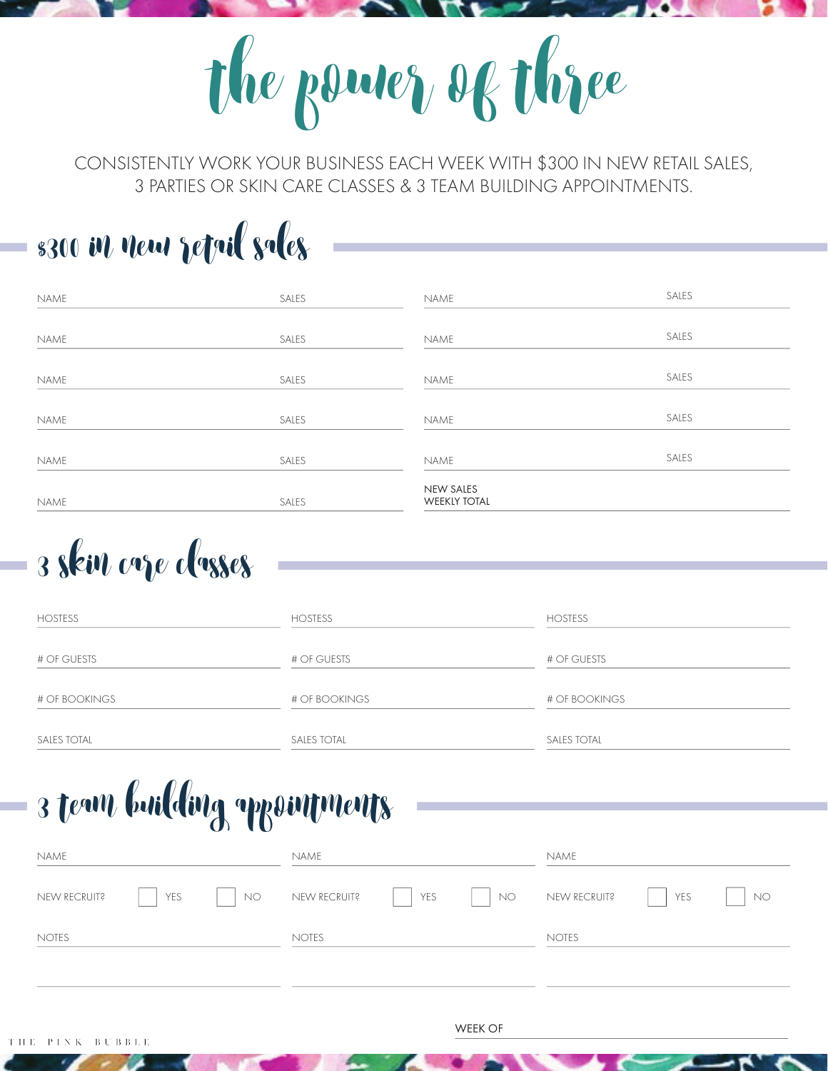the power of thre

CONSISTENTLY WORK YOUR BUSINESS EACH WEEK WITH \$300 IN NEW RETAIL SALES, 3 PARTIES OR SKIN CARE CLASSES & 3 TEAM BUILDING APPOINTMENTS.

## \$300 in new retail sales

| NAME | SALES | NAME                                    | SALES |
|------|-------|-----------------------------------------|-------|
|      |       |                                         |       |
| NAME | SALES | NAME                                    | SALES |
| NAME | SALES | NAME                                    | SALES |
| NAME | SALES | NAME                                    | SALES |
| NAME | SALES | NAME                                    | SALES |
| NAME | SALES | <b>NEW SALES</b><br><b>WEEKLY TOTAL</b> |       |

3 skin care clases

| <b>HOSTESS</b>     | <b>HOSTESS</b>     | <b>HOSTESS</b>     |
|--------------------|--------------------|--------------------|
| # OF GUESTS        | # OF GUESTS        | # OF GUESTS        |
| # OF BOOKINGS      | # OF BOOKINGS      | # OF BOOKINGS      |
| <b>SALES TOTAL</b> | <b>SALES TOTAL</b> | <b>SALES TOTAL</b> |

## 3 team building apointments

| NAME         |     |              | name         |              |    | NAME         |     |           |
|--------------|-----|--------------|--------------|--------------|----|--------------|-----|-----------|
| NEW RECRUIT? | YES | NO.          | NEW RECRUIT? | YES          | NO | NEW RECRUIT? | YES | <b>NO</b> |
| <b>NOTES</b> |     | <b>NOTES</b> |              | <b>NOTES</b> |    |              |     |           |
|              |     |              |              |              |    |              |     |           |

WEEK OF